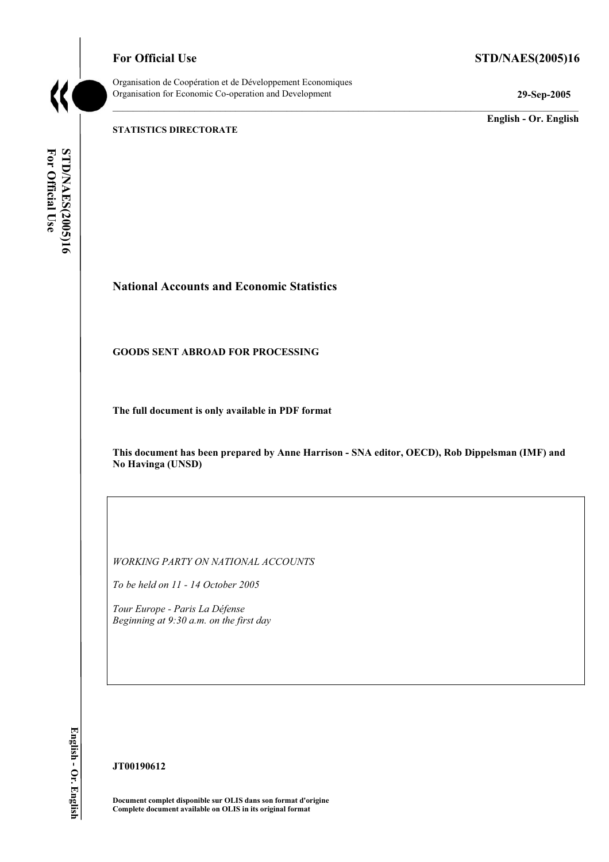**For Official Use STD/NAES(2005)16** 



Organisation de Coopération et de Développement Economiques Organisation for Economic Co-operation and Development **29-Sep-2005** 

**English - Or. English** 

**STATISTICS DIRECTORATE** 

For Official Use **STD/NAES(2005)16 For Official Use STD/NAES(2005)16**

# **National Accounts and Economic Statistics**

#### **GOODS SENT ABROAD FOR PROCESSING**

**The full document is only available in PDF format** 

**This document has been prepared by Anne Harrison - SNA editor, OECD), Rob Dippelsman (IMF) and No Havinga (UNSD)** 

 $\_$  ,  $\_$  ,  $\_$  ,  $\_$  ,  $\_$  ,  $\_$  ,  $\_$  ,  $\_$  ,  $\_$  ,  $\_$  ,  $\_$  ,  $\_$  ,  $\_$  ,  $\_$  ,  $\_$  ,  $\_$  ,  $\_$  ,  $\_$  ,  $\_$  ,  $\_$  ,  $\_$  ,  $\_$  ,  $\_$  ,  $\_$  ,  $\_$  ,  $\_$  ,  $\_$  ,  $\_$  ,  $\_$  ,  $\_$  ,  $\_$  ,  $\_$  ,  $\_$  ,  $\_$  ,  $\_$  ,  $\_$  ,  $\_$  ,

*WORKING PARTY ON NATIONAL ACCOUNTS* 

*To be held on 11 - 14 October 2005* 

*Tour Europe - Paris La Défense Beginning at 9:30 a.m. on the first day* 

English - Or. English **English - Or. English** 

**JT00190612** 

**Document complet disponible sur OLIS dans son format d'origine Complete document available on OLIS in its original format**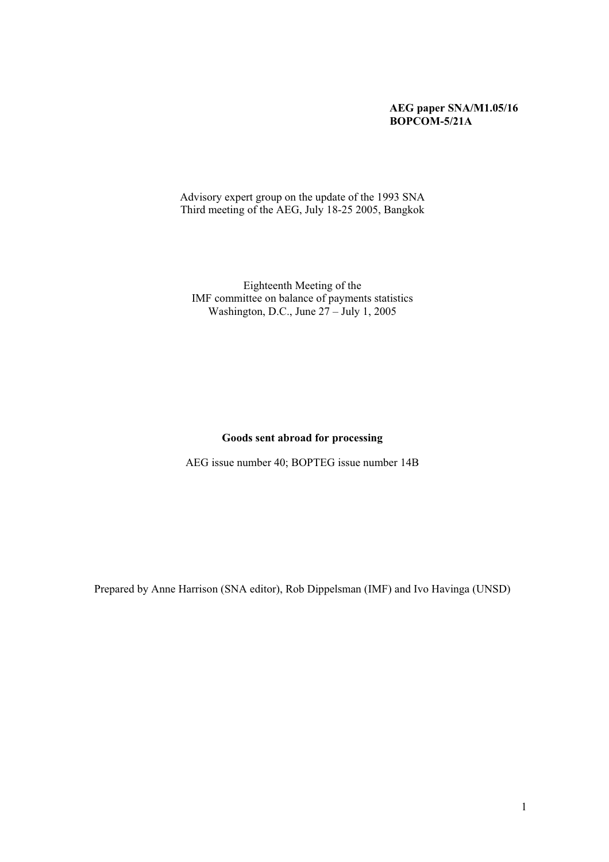### **AEG paper SNA/M1.05/16 BOPCOM-5/21A**

Advisory expert group on the update of the 1993 SNA Third meeting of the AEG, July 18-25 2005, Bangkok

Eighteenth Meeting of the IMF committee on balance of payments statistics Washington, D.C., June 27 – July 1, 2005

#### **Goods sent abroad for processing**

AEG issue number 40; BOPTEG issue number 14B

Prepared by Anne Harrison (SNA editor), Rob Dippelsman (IMF) and Ivo Havinga (UNSD)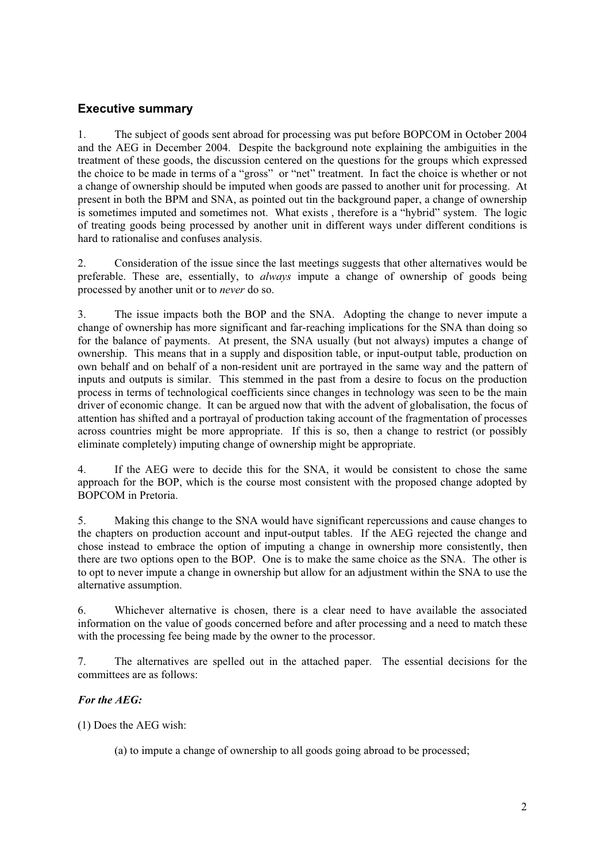# **Executive summary**

1. The subject of goods sent abroad for processing was put before BOPCOM in October 2004 and the AEG in December 2004. Despite the background note explaining the ambiguities in the treatment of these goods, the discussion centered on the questions for the groups which expressed the choice to be made in terms of a "gross" or "net" treatment. In fact the choice is whether or not a change of ownership should be imputed when goods are passed to another unit for processing. At present in both the BPM and SNA, as pointed out tin the background paper, a change of ownership is sometimes imputed and sometimes not. What exists , therefore is a "hybrid" system. The logic of treating goods being processed by another unit in different ways under different conditions is hard to rationalise and confuses analysis.

2. Consideration of the issue since the last meetings suggests that other alternatives would be preferable. These are, essentially, to *always* impute a change of ownership of goods being processed by another unit or to *never* do so.

3. The issue impacts both the BOP and the SNA. Adopting the change to never impute a change of ownership has more significant and far-reaching implications for the SNA than doing so for the balance of payments. At present, the SNA usually (but not always) imputes a change of ownership. This means that in a supply and disposition table, or input-output table, production on own behalf and on behalf of a non-resident unit are portrayed in the same way and the pattern of inputs and outputs is similar. This stemmed in the past from a desire to focus on the production process in terms of technological coefficients since changes in technology was seen to be the main driver of economic change. It can be argued now that with the advent of globalisation, the focus of attention has shifted and a portrayal of production taking account of the fragmentation of processes across countries might be more appropriate. If this is so, then a change to restrict (or possibly eliminate completely) imputing change of ownership might be appropriate.

4. If the AEG were to decide this for the SNA, it would be consistent to chose the same approach for the BOP, which is the course most consistent with the proposed change adopted by BOPCOM in Pretoria.

5. Making this change to the SNA would have significant repercussions and cause changes to the chapters on production account and input-output tables. If the AEG rejected the change and chose instead to embrace the option of imputing a change in ownership more consistently, then there are two options open to the BOP. One is to make the same choice as the SNA. The other is to opt to never impute a change in ownership but allow for an adjustment within the SNA to use the alternative assumption.

6. Whichever alternative is chosen, there is a clear need to have available the associated information on the value of goods concerned before and after processing and a need to match these with the processing fee being made by the owner to the processor.

7. The alternatives are spelled out in the attached paper. The essential decisions for the committees are as follows:

# *For the AEG:*

(1) Does the AEG wish:

(a) to impute a change of ownership to all goods going abroad to be processed;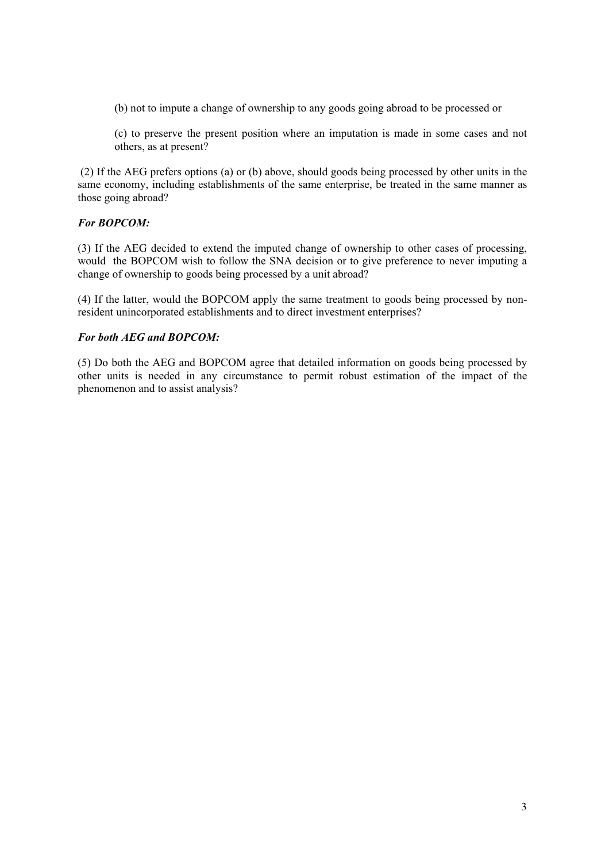- (b) not to impute a change of ownership to any goods going abroad to be processed or
- (c) to preserve the present position where an imputation is made in some cases and not others, as at present?

 (2) If the AEG prefers options (a) or (b) above, should goods being processed by other units in the same economy, including establishments of the same enterprise, be treated in the same manner as those going abroad?

## *For BOPCOM:*

(3) If the AEG decided to extend the imputed change of ownership to other cases of processing, would the BOPCOM wish to follow the SNA decision or to give preference to never imputing a change of ownership to goods being processed by a unit abroad?

(4) If the latter, would the BOPCOM apply the same treatment to goods being processed by nonresident unincorporated establishments and to direct investment enterprises?

#### *For both AEG and BOPCOM:*

(5) Do both the AEG and BOPCOM agree that detailed information on goods being processed by other units is needed in any circumstance to permit robust estimation of the impact of the phenomenon and to assist analysis?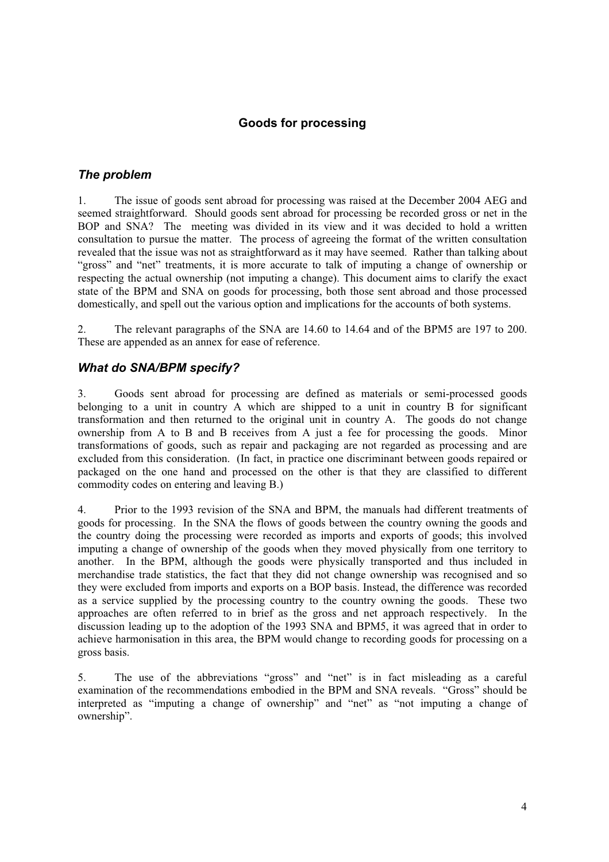# **Goods for processing**

# *The problem*

1. The issue of goods sent abroad for processing was raised at the December 2004 AEG and seemed straightforward. Should goods sent abroad for processing be recorded gross or net in the BOP and SNA? The meeting was divided in its view and it was decided to hold a written consultation to pursue the matter. The process of agreeing the format of the written consultation revealed that the issue was not as straightforward as it may have seemed. Rather than talking about "gross" and "net" treatments, it is more accurate to talk of imputing a change of ownership or respecting the actual ownership (not imputing a change). This document aims to clarify the exact state of the BPM and SNA on goods for processing, both those sent abroad and those processed domestically, and spell out the various option and implications for the accounts of both systems.

2. The relevant paragraphs of the SNA are 14.60 to 14.64 and of the BPM5 are 197 to 200. These are appended as an annex for ease of reference.

# *What do SNA/BPM specify?*

3. Goods sent abroad for processing are defined as materials or semi-processed goods belonging to a unit in country A which are shipped to a unit in country B for significant transformation and then returned to the original unit in country A. The goods do not change ownership from A to B and B receives from A just a fee for processing the goods. Minor transformations of goods, such as repair and packaging are not regarded as processing and are excluded from this consideration. (In fact, in practice one discriminant between goods repaired or packaged on the one hand and processed on the other is that they are classified to different commodity codes on entering and leaving B.)

4. Prior to the 1993 revision of the SNA and BPM, the manuals had different treatments of goods for processing. In the SNA the flows of goods between the country owning the goods and the country doing the processing were recorded as imports and exports of goods; this involved imputing a change of ownership of the goods when they moved physically from one territory to another. In the BPM, although the goods were physically transported and thus included in merchandise trade statistics, the fact that they did not change ownership was recognised and so they were excluded from imports and exports on a BOP basis. Instead, the difference was recorded as a service supplied by the processing country to the country owning the goods. These two approaches are often referred to in brief as the gross and net approach respectively. In the discussion leading up to the adoption of the 1993 SNA and BPM5, it was agreed that in order to achieve harmonisation in this area, the BPM would change to recording goods for processing on a gross basis.

5. The use of the abbreviations "gross" and "net" is in fact misleading as a careful examination of the recommendations embodied in the BPM and SNA reveals. "Gross" should be interpreted as "imputing a change of ownership" and "net" as "not imputing a change of ownership".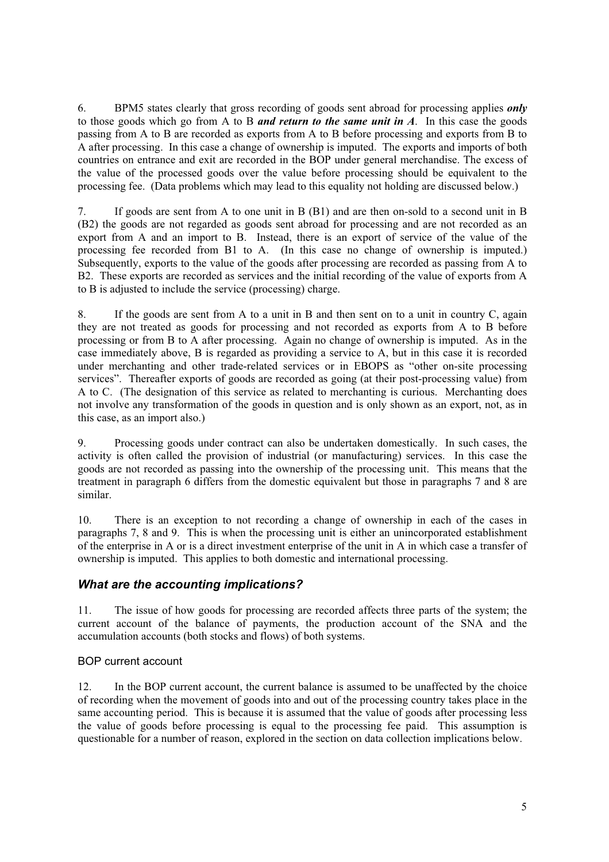6. BPM5 states clearly that gross recording of goods sent abroad for processing applies *only* to those goods which go from A to B *and return to the same unit in A*. In this case the goods passing from A to B are recorded as exports from A to B before processing and exports from B to A after processing. In this case a change of ownership is imputed. The exports and imports of both countries on entrance and exit are recorded in the BOP under general merchandise. The excess of the value of the processed goods over the value before processing should be equivalent to the processing fee. (Data problems which may lead to this equality not holding are discussed below.)

7. If goods are sent from A to one unit in B (B1) and are then on-sold to a second unit in B (B2) the goods are not regarded as goods sent abroad for processing and are not recorded as an export from A and an import to B. Instead, there is an export of service of the value of the processing fee recorded from B1 to A. (In this case no change of ownership is imputed.) Subsequently, exports to the value of the goods after processing are recorded as passing from A to B2. These exports are recorded as services and the initial recording of the value of exports from A to B is adjusted to include the service (processing) charge.

8. If the goods are sent from A to a unit in B and then sent on to a unit in country C, again they are not treated as goods for processing and not recorded as exports from A to B before processing or from B to A after processing. Again no change of ownership is imputed. As in the case immediately above, B is regarded as providing a service to A, but in this case it is recorded under merchanting and other trade-related services or in EBOPS as "other on-site processing services". Thereafter exports of goods are recorded as going (at their post-processing value) from A to C. (The designation of this service as related to merchanting is curious. Merchanting does not involve any transformation of the goods in question and is only shown as an export, not, as in this case, as an import also.)

9. Processing goods under contract can also be undertaken domestically. In such cases, the activity is often called the provision of industrial (or manufacturing) services. In this case the goods are not recorded as passing into the ownership of the processing unit. This means that the treatment in paragraph 6 differs from the domestic equivalent but those in paragraphs 7 and 8 are similar.

10. There is an exception to not recording a change of ownership in each of the cases in paragraphs 7, 8 and 9. This is when the processing unit is either an unincorporated establishment of the enterprise in A or is a direct investment enterprise of the unit in A in which case a transfer of ownership is imputed. This applies to both domestic and international processing.

# *What are the accounting implications?*

11. The issue of how goods for processing are recorded affects three parts of the system; the current account of the balance of payments, the production account of the SNA and the accumulation accounts (both stocks and flows) of both systems.

# BOP current account

12. In the BOP current account, the current balance is assumed to be unaffected by the choice of recording when the movement of goods into and out of the processing country takes place in the same accounting period. This is because it is assumed that the value of goods after processing less the value of goods before processing is equal to the processing fee paid. This assumption is questionable for a number of reason, explored in the section on data collection implications below.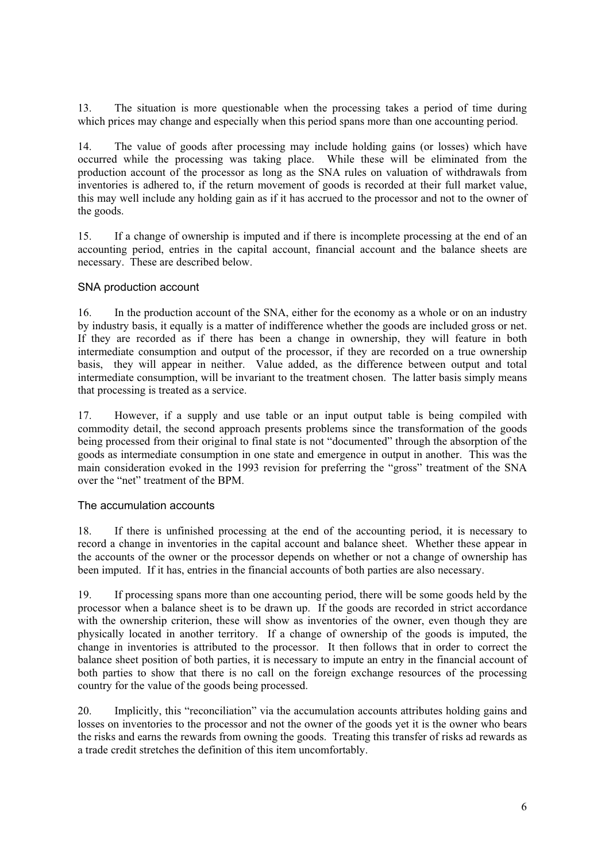13. The situation is more questionable when the processing takes a period of time during which prices may change and especially when this period spans more than one accounting period.

14. The value of goods after processing may include holding gains (or losses) which have occurred while the processing was taking place. While these will be eliminated from the production account of the processor as long as the SNA rules on valuation of withdrawals from inventories is adhered to, if the return movement of goods is recorded at their full market value, this may well include any holding gain as if it has accrued to the processor and not to the owner of the goods.

15. If a change of ownership is imputed and if there is incomplete processing at the end of an accounting period, entries in the capital account, financial account and the balance sheets are necessary. These are described below.

#### SNA production account

16. In the production account of the SNA, either for the economy as a whole or on an industry by industry basis, it equally is a matter of indifference whether the goods are included gross or net. If they are recorded as if there has been a change in ownership, they will feature in both intermediate consumption and output of the processor, if they are recorded on a true ownership basis, they will appear in neither. Value added, as the difference between output and total intermediate consumption, will be invariant to the treatment chosen. The latter basis simply means that processing is treated as a service.

17. However, if a supply and use table or an input output table is being compiled with commodity detail, the second approach presents problems since the transformation of the goods being processed from their original to final state is not "documented" through the absorption of the goods as intermediate consumption in one state and emergence in output in another. This was the main consideration evoked in the 1993 revision for preferring the "gross" treatment of the SNA over the "net" treatment of the BPM.

#### The accumulation accounts

18. If there is unfinished processing at the end of the accounting period, it is necessary to record a change in inventories in the capital account and balance sheet. Whether these appear in the accounts of the owner or the processor depends on whether or not a change of ownership has been imputed. If it has, entries in the financial accounts of both parties are also necessary.

19. If processing spans more than one accounting period, there will be some goods held by the processor when a balance sheet is to be drawn up. If the goods are recorded in strict accordance with the ownership criterion, these will show as inventories of the owner, even though they are physically located in another territory. If a change of ownership of the goods is imputed, the change in inventories is attributed to the processor. It then follows that in order to correct the balance sheet position of both parties, it is necessary to impute an entry in the financial account of both parties to show that there is no call on the foreign exchange resources of the processing country for the value of the goods being processed.

20. Implicitly, this "reconciliation" via the accumulation accounts attributes holding gains and losses on inventories to the processor and not the owner of the goods yet it is the owner who bears the risks and earns the rewards from owning the goods. Treating this transfer of risks ad rewards as a trade credit stretches the definition of this item uncomfortably.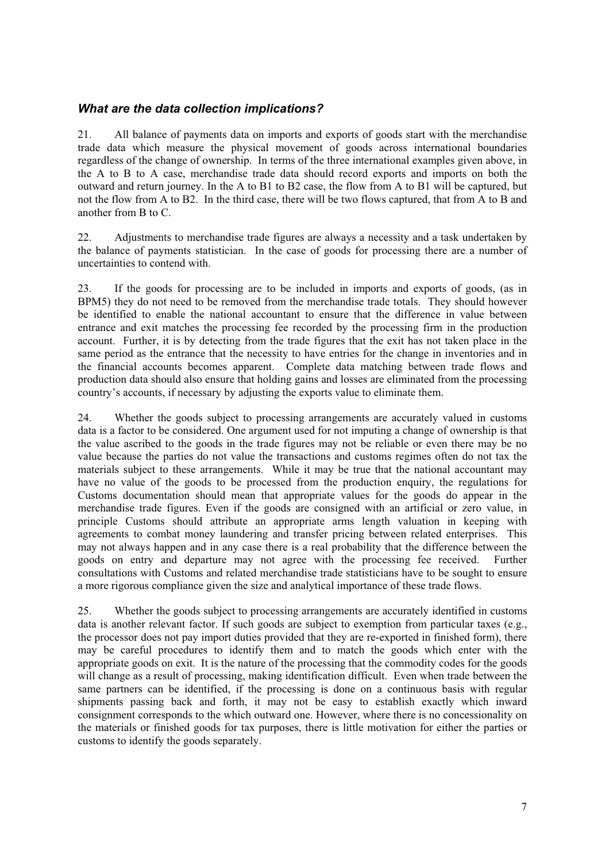# *What are the data collection implications?*

21. All balance of payments data on imports and exports of goods start with the merchandise trade data which measure the physical movement of goods across international boundaries regardless of the change of ownership. In terms of the three international examples given above, in the A to B to A case, merchandise trade data should record exports and imports on both the outward and return journey. In the A to B1 to B2 case, the flow from A to B1 will be captured, but not the flow from A to B2. In the third case, there will be two flows captured, that from A to B and another from B to C.

22. Adjustments to merchandise trade figures are always a necessity and a task undertaken by the balance of payments statistician. In the case of goods for processing there are a number of uncertainties to contend with.

23. If the goods for processing are to be included in imports and exports of goods, (as in BPM5) they do not need to be removed from the merchandise trade totals. They should however be identified to enable the national accountant to ensure that the difference in value between entrance and exit matches the processing fee recorded by the processing firm in the production account. Further, it is by detecting from the trade figures that the exit has not taken place in the same period as the entrance that the necessity to have entries for the change in inventories and in the financial accounts becomes apparent. Complete data matching between trade flows and production data should also ensure that holding gains and losses are eliminated from the processing country's accounts, if necessary by adjusting the exports value to eliminate them.

24. Whether the goods subject to processing arrangements are accurately valued in customs data is a factor to be considered. One argument used for not imputing a change of ownership is that the value ascribed to the goods in the trade figures may not be reliable or even there may be no value because the parties do not value the transactions and customs regimes often do not tax the materials subject to these arrangements. While it may be true that the national accountant may have no value of the goods to be processed from the production enquiry, the regulations for Customs documentation should mean that appropriate values for the goods do appear in the merchandise trade figures. Even if the goods are consigned with an artificial or zero value, in principle Customs should attribute an appropriate arms length valuation in keeping with agreements to combat money laundering and transfer pricing between related enterprises. This may not always happen and in any case there is a real probability that the difference between the goods on entry and departure may not agree with the processing fee received. Further consultations with Customs and related merchandise trade statisticians have to be sought to ensure a more rigorous compliance given the size and analytical importance of these trade flows.

25. Whether the goods subject to processing arrangements are accurately identified in customs data is another relevant factor. If such goods are subject to exemption from particular taxes (e.g., the processor does not pay import duties provided that they are re-exported in finished form), there may be careful procedures to identify them and to match the goods which enter with the appropriate goods on exit. It is the nature of the processing that the commodity codes for the goods will change as a result of processing, making identification difficult. Even when trade between the same partners can be identified, if the processing is done on a continuous basis with regular shipments passing back and forth, it may not be easy to establish exactly which inward consignment corresponds to the which outward one. However, where there is no concessionality on the materials or finished goods for tax purposes, there is little motivation for either the parties or customs to identify the goods separately.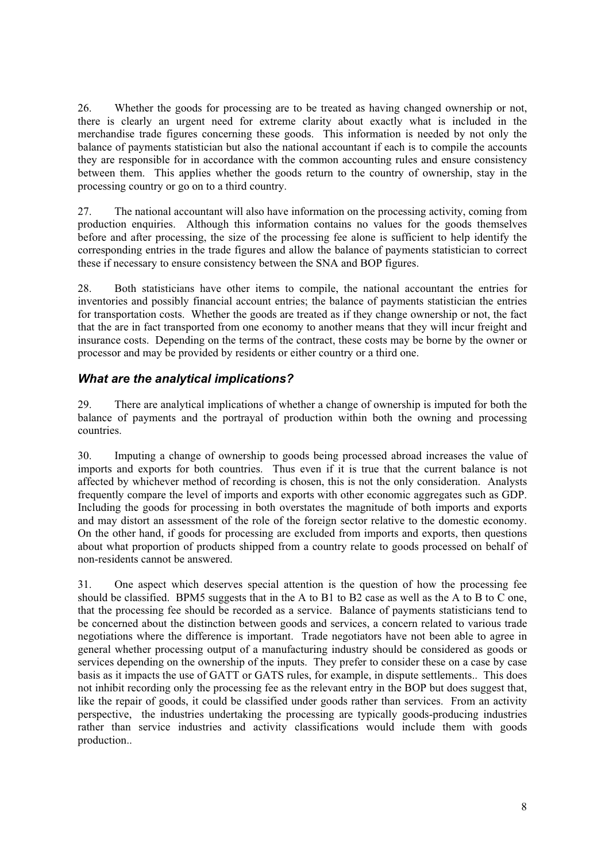26. Whether the goods for processing are to be treated as having changed ownership or not, there is clearly an urgent need for extreme clarity about exactly what is included in the merchandise trade figures concerning these goods. This information is needed by not only the balance of payments statistician but also the national accountant if each is to compile the accounts they are responsible for in accordance with the common accounting rules and ensure consistency between them. This applies whether the goods return to the country of ownership, stay in the processing country or go on to a third country.

27. The national accountant will also have information on the processing activity, coming from production enquiries. Although this information contains no values for the goods themselves before and after processing, the size of the processing fee alone is sufficient to help identify the corresponding entries in the trade figures and allow the balance of payments statistician to correct these if necessary to ensure consistency between the SNA and BOP figures.

28. Both statisticians have other items to compile, the national accountant the entries for inventories and possibly financial account entries; the balance of payments statistician the entries for transportation costs. Whether the goods are treated as if they change ownership or not, the fact that the are in fact transported from one economy to another means that they will incur freight and insurance costs. Depending on the terms of the contract, these costs may be borne by the owner or processor and may be provided by residents or either country or a third one.

# *What are the analytical implications?*

29. There are analytical implications of whether a change of ownership is imputed for both the balance of payments and the portrayal of production within both the owning and processing countries.

30. Imputing a change of ownership to goods being processed abroad increases the value of imports and exports for both countries. Thus even if it is true that the current balance is not affected by whichever method of recording is chosen, this is not the only consideration. Analysts frequently compare the level of imports and exports with other economic aggregates such as GDP. Including the goods for processing in both overstates the magnitude of both imports and exports and may distort an assessment of the role of the foreign sector relative to the domestic economy. On the other hand, if goods for processing are excluded from imports and exports, then questions about what proportion of products shipped from a country relate to goods processed on behalf of non-residents cannot be answered.

31. One aspect which deserves special attention is the question of how the processing fee should be classified. BPM5 suggests that in the A to B1 to B2 case as well as the A to B to C one, that the processing fee should be recorded as a service. Balance of payments statisticians tend to be concerned about the distinction between goods and services, a concern related to various trade negotiations where the difference is important. Trade negotiators have not been able to agree in general whether processing output of a manufacturing industry should be considered as goods or services depending on the ownership of the inputs. They prefer to consider these on a case by case basis as it impacts the use of GATT or GATS rules, for example, in dispute settlements.. This does not inhibit recording only the processing fee as the relevant entry in the BOP but does suggest that, like the repair of goods, it could be classified under goods rather than services. From an activity perspective, the industries undertaking the processing are typically goods-producing industries rather than service industries and activity classifications would include them with goods production..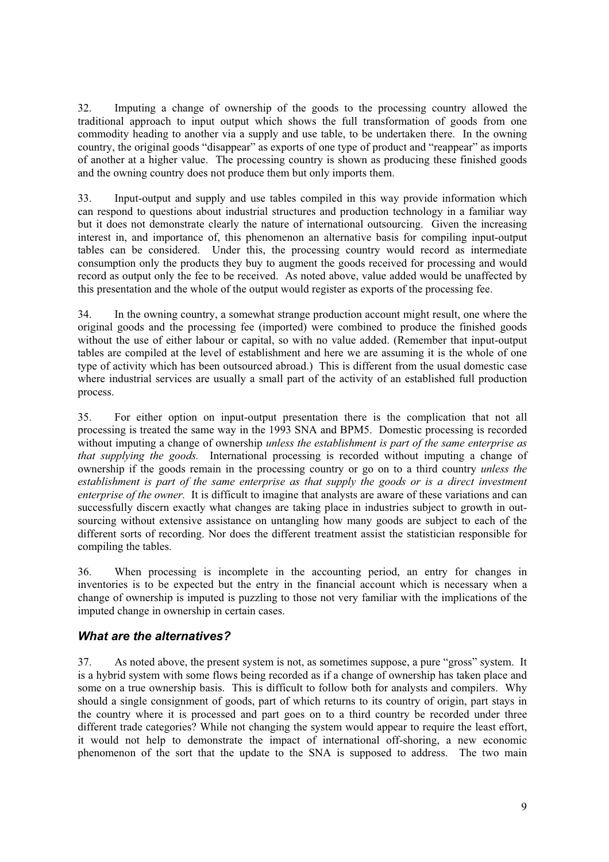32. Imputing a change of ownership of the goods to the processing country allowed the traditional approach to input output which shows the full transformation of goods from one commodity heading to another via a supply and use table, to be undertaken there. In the owning country, the original goods "disappear" as exports of one type of product and "reappear" as imports of another at a higher value. The processing country is shown as producing these finished goods and the owning country does not produce them but only imports them.

33. Input-output and supply and use tables compiled in this way provide information which can respond to questions about industrial structures and production technology in a familiar way but it does not demonstrate clearly the nature of international outsourcing. Given the increasing interest in, and importance of, this phenomenon an alternative basis for compiling input-output tables can be considered. Under this, the processing country would record as intermediate consumption only the products they buy to augment the goods received for processing and would record as output only the fee to be received. As noted above, value added would be unaffected by this presentation and the whole of the output would register as exports of the processing fee.

34. In the owning country, a somewhat strange production account might result, one where the original goods and the processing fee (imported) were combined to produce the finished goods without the use of either labour or capital, so with no value added. (Remember that input-output tables are compiled at the level of establishment and here we are assuming it is the whole of one type of activity which has been outsourced abroad.) This is different from the usual domestic case where industrial services are usually a small part of the activity of an established full production process.

35. For either option on input-output presentation there is the complication that not all processing is treated the same way in the 1993 SNA and BPM5. Domestic processing is recorded without imputing a change of ownership *unless the establishment is part of the same enterprise as that supplying the goods.* International processing is recorded without imputing a change of ownership if the goods remain in the processing country or go on to a third country *unless the establishment is part of the same enterprise as that supply the goods or is a direct investment enterprise of the owner.* It is difficult to imagine that analysts are aware of these variations and can successfully discern exactly what changes are taking place in industries subject to growth in outsourcing without extensive assistance on untangling how many goods are subject to each of the different sorts of recording. Nor does the different treatment assist the statistician responsible for compiling the tables.

36. When processing is incomplete in the accounting period, an entry for changes in inventories is to be expected but the entry in the financial account which is necessary when a change of ownership is imputed is puzzling to those not very familiar with the implications of the imputed change in ownership in certain cases.

# *What are the alternatives?*

37. As noted above, the present system is not, as sometimes suppose, a pure "gross" system. It is a hybrid system with some flows being recorded as if a change of ownership has taken place and some on a true ownership basis. This is difficult to follow both for analysts and compilers. Why should a single consignment of goods, part of which returns to its country of origin, part stays in the country where it is processed and part goes on to a third country be recorded under three different trade categories? While not changing the system would appear to require the least effort, it would not help to demonstrate the impact of international off-shoring, a new economic phenomenon of the sort that the update to the SNA is supposed to address. The two main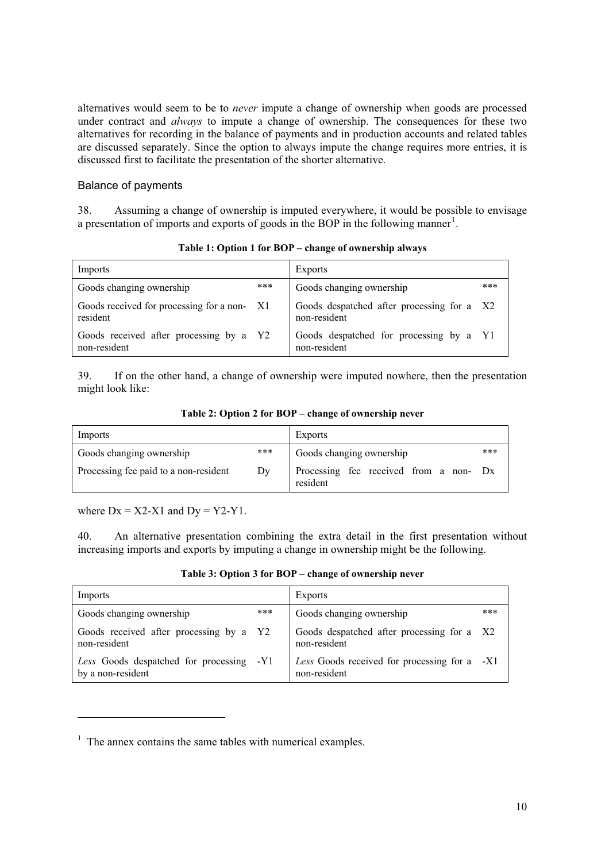alternatives would seem to be to *never* impute a change of ownership when goods are processed under contract and *always* to impute a change of ownership. The consequences for these two alternatives for recording in the balance of payments and in production accounts and related tables are discussed separately. Since the option to always impute the change requires more entries, it is discussed first to facilitate the presentation of the shorter alternative.

#### Balance of payments

38. Assuming a change of ownership is imputed everywhere, it would be possible to envisage a presentation of imports and exports of goods in the BOP in the following manner<sup>1</sup>.

| Imports                                                 |      | <b>Exports</b>                                             |     |
|---------------------------------------------------------|------|------------------------------------------------------------|-----|
| Goods changing ownership                                | ***  | Goods changing ownership                                   | *** |
| Goods received for processing for a non-<br>resident    | - X1 | Goods despatched after processing for a X2<br>non-resident |     |
| Goods received after processing by a Y2<br>non-resident |      | Goods despatched for processing by a Y1<br>non-resident    |     |

**Table 1: Option 1 for BOP – change of ownership always** 

39. If on the other hand, a change of ownership were imputed nowhere, then the presentation might look like:

**Table 2: Option 2 for BOP – change of ownership never** 

| Imports                               |     | Exports                                            |     |
|---------------------------------------|-----|----------------------------------------------------|-----|
| Goods changing ownership              | *** | Goods changing ownership                           | *** |
| Processing fee paid to a non-resident | Dv  | Processing fee received from a non- Dx<br>resident |     |

where  $Dx = X2-X1$  and  $Dy = Y2-Y1$ .

-

40. An alternative presentation combining the extra detail in the first presentation without increasing imports and exports by imputing a change in ownership might be the following.

**Table 3: Option 3 for BOP – change of ownership never** 

| Imports                                                       |     | Exports                                                      |     |
|---------------------------------------------------------------|-----|--------------------------------------------------------------|-----|
| Goods changing ownership                                      | *** | Goods changing ownership                                     | *** |
| Goods received after processing by a Y2<br>non-resident       |     | Goods despatched after processing for a X2<br>non-resident   |     |
| Less Goods despatched for processing -Y1<br>by a non-resident |     | Less Goods received for processing for a -X1<br>non-resident |     |

 $<sup>1</sup>$  The annex contains the same tables with numerical examples.</sup>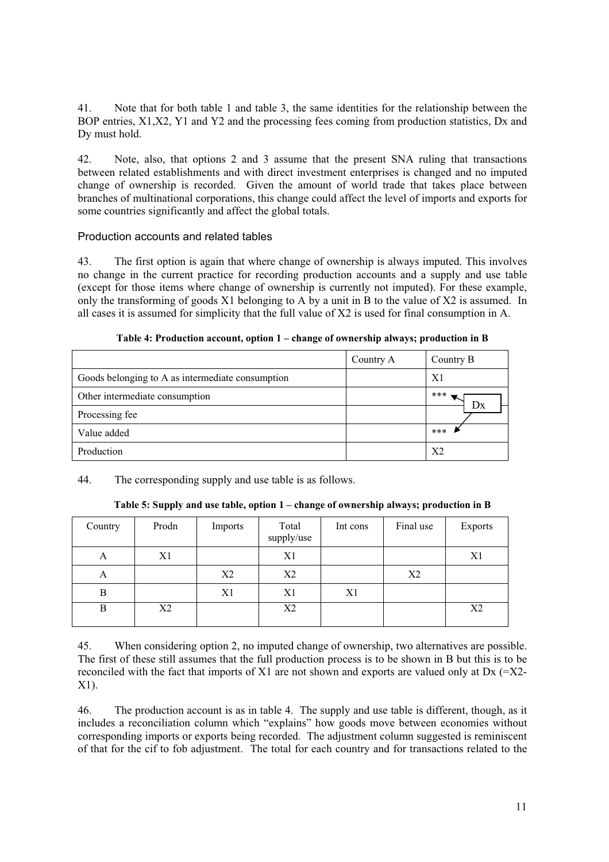41. Note that for both table 1 and table 3, the same identities for the relationship between the BOP entries, X1,X2, Y1 and Y2 and the processing fees coming from production statistics, Dx and Dy must hold.

42. Note, also, that options 2 and 3 assume that the present SNA ruling that transactions between related establishments and with direct investment enterprises is changed and no imputed change of ownership is recorded. Given the amount of world trade that takes place between branches of multinational corporations, this change could affect the level of imports and exports for some countries significantly and affect the global totals.

#### Production accounts and related tables

43. The first option is again that where change of ownership is always imputed. This involves no change in the current practice for recording production accounts and a supply and use table (except for those items where change of ownership is currently not imputed). For these example, only the transforming of goods  $X1$  belonging to A by a unit in B to the value of  $X2$  is assumed. In all cases it is assumed for simplicity that the full value of X2 is used for final consumption in A.

|                                                  | Country A | Country B      |
|--------------------------------------------------|-----------|----------------|
| Goods belonging to A as intermediate consumption |           | X <sub>1</sub> |
| Other intermediate consumption                   |           | ***<br>Dx      |
| Processing fee                                   |           |                |
| Value added                                      |           | $***$          |
| Production                                       |           | X <sub>2</sub> |

**Table 4: Production account, option 1 – change of ownership always; production in B** 

44. The corresponding supply and use table is as follows.

**Table 5: Supply and use table, option 1 – change of ownership always; production in B** 

| Country | Prodn | Imports        | Total<br>supply/use | Int cons | Final use      | <b>Exports</b> |
|---------|-------|----------------|---------------------|----------|----------------|----------------|
| А       | X1    |                | X1                  |          |                | X1             |
| A       |       | X <sub>2</sub> | X2                  |          | X <sub>2</sub> |                |
| B       |       | X1             | X1                  | X1       |                |                |
| B       | X2    |                | X2                  |          |                | X2             |

45. When considering option 2, no imputed change of ownership, two alternatives are possible. The first of these still assumes that the full production process is to be shown in B but this is to be reconciled with the fact that imports of X1 are not shown and exports are valued only at Dx  $(=X2-$ X1).

46. The production account is as in table 4. The supply and use table is different, though, as it includes a reconciliation column which "explains" how goods move between economies without corresponding imports or exports being recorded. The adjustment column suggested is reminiscent of that for the cif to fob adjustment. The total for each country and for transactions related to the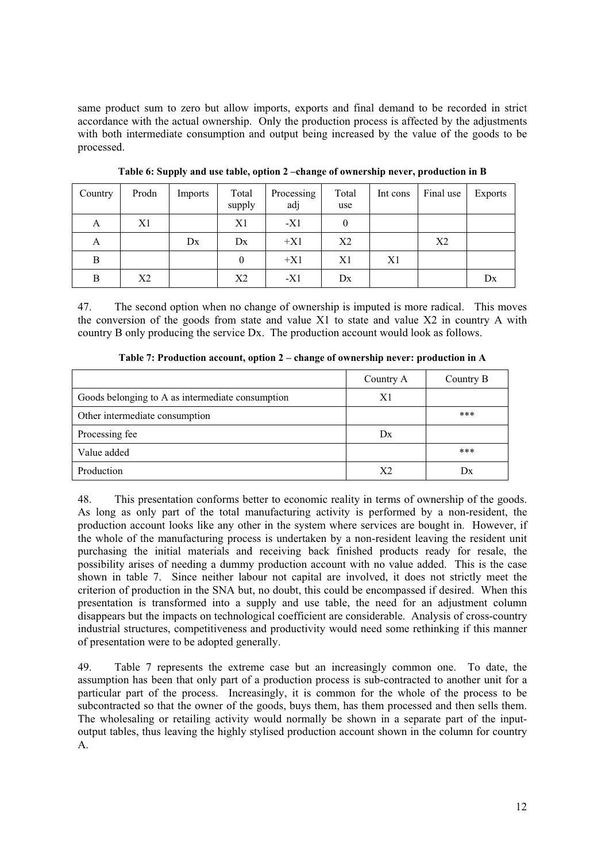same product sum to zero but allow imports, exports and final demand to be recorded in strict accordance with the actual ownership. Only the production process is affected by the adjustments with both intermediate consumption and output being increased by the value of the goods to be processed.

| Country | Prodn | Imports | Total<br>supply | Processing<br>adj | Total<br>use | Int cons | Final use      | Exports |
|---------|-------|---------|-----------------|-------------------|--------------|----------|----------------|---------|
| A       | X1    |         | X <sub>1</sub>  | $-X1$             | 0            |          |                |         |
| A       |       | Dx      | Dx              | $+X1$             | X2           |          | X <sub>2</sub> |         |
| B       |       |         | $\mathbf{0}$    | $+X1$             | X1           | X1       |                |         |
| В       | X2    |         | X <sub>2</sub>  | $-X1$             | Dx           |          |                | Dx      |

**Table 6: Supply and use table, option 2 –change of ownership never, production in B** 

47. The second option when no change of ownership is imputed is more radical. This moves the conversion of the goods from state and value X1 to state and value X2 in country A with country B only producing the service Dx. The production account would look as follows.

|                                                  | Country A | Country B |
|--------------------------------------------------|-----------|-----------|
| Goods belonging to A as intermediate consumption | X1        |           |
| Other intermediate consumption                   |           | ***       |
| Processing fee                                   | Dx        |           |
| Value added                                      |           | ***       |
| Production                                       | Х2        | 1         |

**Table 7: Production account, option 2 – change of ownership never: production in A** 

48. This presentation conforms better to economic reality in terms of ownership of the goods. As long as only part of the total manufacturing activity is performed by a non-resident, the production account looks like any other in the system where services are bought in. However, if the whole of the manufacturing process is undertaken by a non-resident leaving the resident unit purchasing the initial materials and receiving back finished products ready for resale, the possibility arises of needing a dummy production account with no value added. This is the case shown in table 7. Since neither labour not capital are involved, it does not strictly meet the criterion of production in the SNA but, no doubt, this could be encompassed if desired. When this presentation is transformed into a supply and use table, the need for an adjustment column disappears but the impacts on technological coefficient are considerable. Analysis of cross-country industrial structures, competitiveness and productivity would need some rethinking if this manner of presentation were to be adopted generally.

49. Table 7 represents the extreme case but an increasingly common one. To date, the assumption has been that only part of a production process is sub-contracted to another unit for a particular part of the process. Increasingly, it is common for the whole of the process to be subcontracted so that the owner of the goods, buys them, has them processed and then sells them. The wholesaling or retailing activity would normally be shown in a separate part of the inputoutput tables, thus leaving the highly stylised production account shown in the column for country A.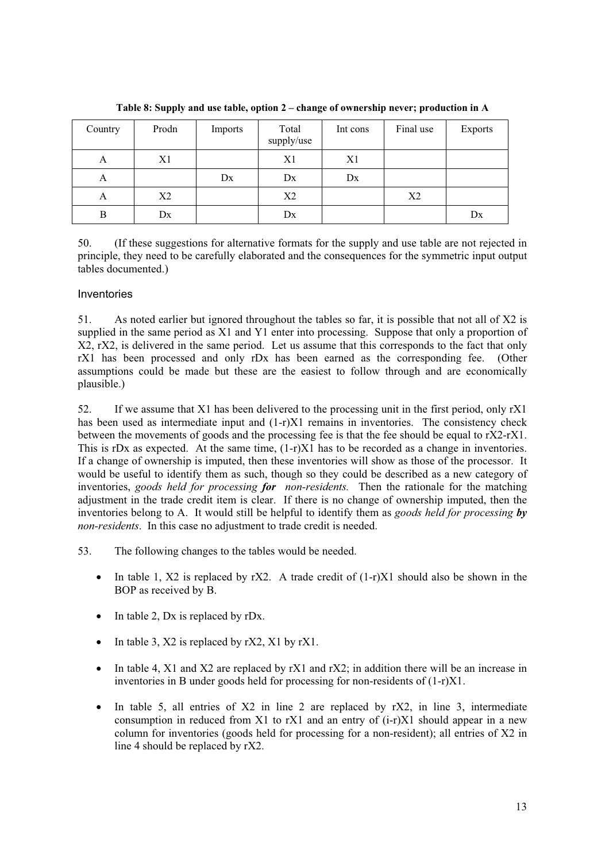| Country | Prodn | Imports | Total<br>supply/use | Int cons | Final use      | <b>Exports</b> |
|---------|-------|---------|---------------------|----------|----------------|----------------|
| A       | X1    |         | X1                  | X1       |                |                |
| A       |       | Dx      | Dx                  | Dx       |                |                |
| А       | X2    |         | X2                  |          | X <sub>2</sub> |                |
| B       | Dx    |         | Dx                  |          |                | Dx             |

**Table 8: Supply and use table, option 2 – change of ownership never; production in A** 

50. (If these suggestions for alternative formats for the supply and use table are not rejected in principle, they need to be carefully elaborated and the consequences for the symmetric input output tables documented.)

### Inventories

51. As noted earlier but ignored throughout the tables so far, it is possible that not all of X2 is supplied in the same period as X1 and Y1 enter into processing. Suppose that only a proportion of X2, rX2, is delivered in the same period. Let us assume that this corresponds to the fact that only rX1 has been processed and only rDx has been earned as the corresponding fee. (Other assumptions could be made but these are the easiest to follow through and are economically plausible.)

52. If we assume that X1 has been delivered to the processing unit in the first period, only rX1 has been used as intermediate input and  $(1-r)X1$  remains in inventories. The consistency check between the movements of goods and the processing fee is that the fee should be equal to rX2-rX1. This is rDx as expected. At the same time,  $(1-r)X\overline{1}$  has to be recorded as a change in inventories. If a change of ownership is imputed, then these inventories will show as those of the processor. It would be useful to identify them as such, though so they could be described as a new category of inventories, *goods held for processing for non-residents.* Then the rationale for the matching adjustment in the trade credit item is clear. If there is no change of ownership imputed, then the inventories belong to A. It would still be helpful to identify them as *goods held for processing by non-residents*. In this case no adjustment to trade credit is needed.

- 53. The following changes to the tables would be needed.
	- In table 1,  $X2$  is replaced by rX2. A trade credit of  $(1-r)X1$  should also be shown in the BOP as received by B.
	- $\bullet$  In table 2, Dx is replaced by rDx.
	- In table 3,  $X2$  is replaced by r $X2$ ,  $X1$  by r $X1$ .
	- In table 4, X1 and X2 are replaced by rX1 and rX2; in addition there will be an increase in inventories in B under goods held for processing for non-residents of (1-r)X1.
	- In table 5, all entries of  $X2$  in line 2 are replaced by  $rX2$ , in line 3, intermediate consumption in reduced from X1 to rX1 and an entry of (i-r)X1 should appear in a new column for inventories (goods held for processing for a non-resident); all entries of X2 in line 4 should be replaced by rX2.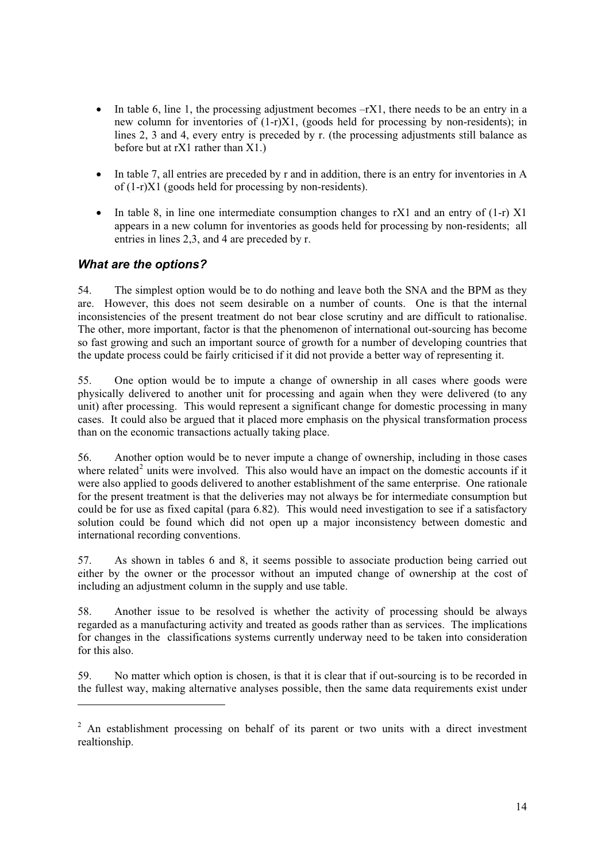- In table 6, line 1, the processing adjustment becomes  $-rX1$ , there needs to be an entry in a new column for inventories of (1-r)X1, (goods held for processing by non-residents); in lines 2, 3 and 4, every entry is preceded by r. (the processing adjustments still balance as before but at rX1 rather than X1.)
- In table 7, all entries are preceded by r and in addition, there is an entry for inventories in A of (1-r)X1 (goods held for processing by non-residents).
- In table 8, in line one intermediate consumption changes to rX1 and an entry of  $(1-r)$  X1 appears in a new column for inventories as goods held for processing by non-residents; all entries in lines 2,3, and 4 are preceded by r.

# *What are the options?*

1

54. The simplest option would be to do nothing and leave both the SNA and the BPM as they are. However, this does not seem desirable on a number of counts. One is that the internal inconsistencies of the present treatment do not bear close scrutiny and are difficult to rationalise. The other, more important, factor is that the phenomenon of international out-sourcing has become so fast growing and such an important source of growth for a number of developing countries that the update process could be fairly criticised if it did not provide a better way of representing it.

55. One option would be to impute a change of ownership in all cases where goods were physically delivered to another unit for processing and again when they were delivered (to any unit) after processing. This would represent a significant change for domestic processing in many cases. It could also be argued that it placed more emphasis on the physical transformation process than on the economic transactions actually taking place.

56. Another option would be to never impute a change of ownership, including in those cases where related<sup>2</sup> units were involved. This also would have an impact on the domestic accounts if it were also applied to goods delivered to another establishment of the same enterprise. One rationale for the present treatment is that the deliveries may not always be for intermediate consumption but could be for use as fixed capital (para 6.82). This would need investigation to see if a satisfactory solution could be found which did not open up a major inconsistency between domestic and international recording conventions.

57. As shown in tables 6 and 8, it seems possible to associate production being carried out either by the owner or the processor without an imputed change of ownership at the cost of including an adjustment column in the supply and use table.

58. Another issue to be resolved is whether the activity of processing should be always regarded as a manufacturing activity and treated as goods rather than as services. The implications for changes in the classifications systems currently underway need to be taken into consideration for this also.

59. No matter which option is chosen, is that it is clear that if out-sourcing is to be recorded in the fullest way, making alternative analyses possible, then the same data requirements exist under

 $2$  An establishment processing on behalf of its parent or two units with a direct investment realtionship.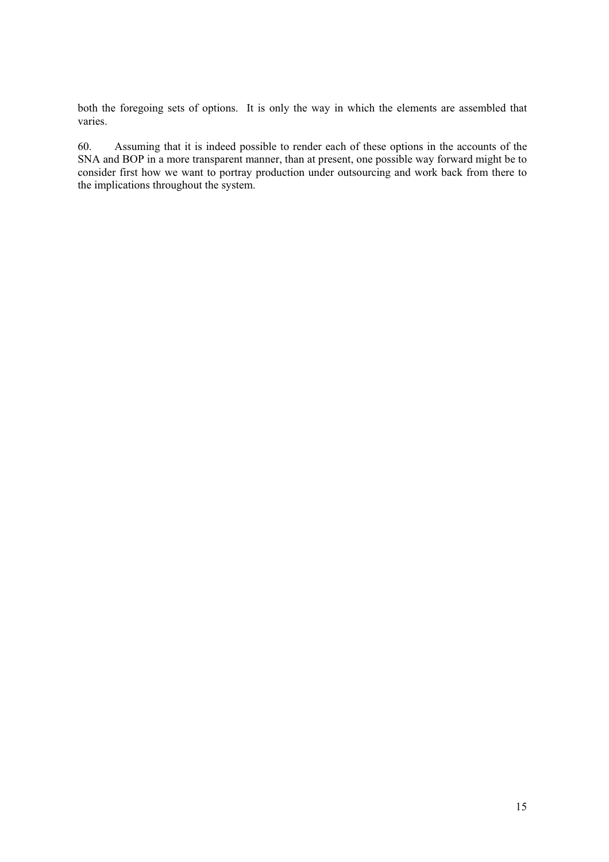both the foregoing sets of options. It is only the way in which the elements are assembled that varies.

60. Assuming that it is indeed possible to render each of these options in the accounts of the SNA and BOP in a more transparent manner, than at present, one possible way forward might be to consider first how we want to portray production under outsourcing and work back from there to the implications throughout the system.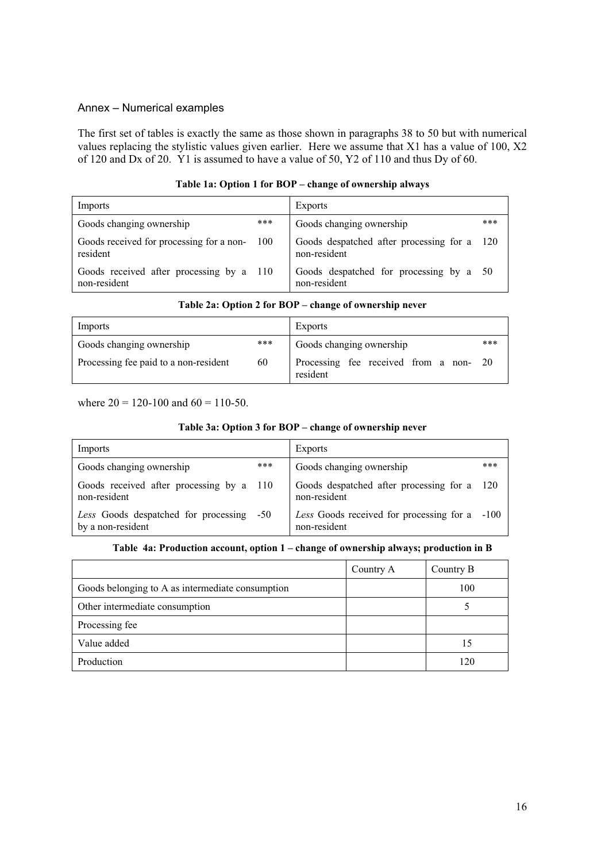#### Annex – Numerical examples

The first set of tables is exactly the same as those shown in paragraphs 38 to 50 but with numerical values replacing the stylistic values given earlier. Here we assume that X1 has a value of 100, X2 of 120 and Dx of 20. Y1 is assumed to have a value of 50, Y2 of 110 and thus Dy of 60.

| Imports                                                  |       | Exports                                                 |      |
|----------------------------------------------------------|-------|---------------------------------------------------------|------|
| Goods changing ownership                                 | ***   | Goods changing ownership                                | ***  |
| Goods received for processing for a non-<br>resident     | - 100 | Goods despatched after processing for a<br>non-resident | -120 |
| Goods received after processing by a 110<br>non-resident |       | Goods despatched for processing by a 50<br>non-resident |      |

#### **Table 1a: Option 1 for BOP – change of ownership always**

|  | Table 2a: Option 2 for BOP – change of ownership never |  |
|--|--------------------------------------------------------|--|
|--|--------------------------------------------------------|--|

| Imports                               |     | <b>Exports</b>                                     |     |
|---------------------------------------|-----|----------------------------------------------------|-----|
| Goods changing ownership              | *** | Goods changing ownership                           | *** |
| Processing fee paid to a non-resident | 60  | Processing fee received from a non- 20<br>resident |     |

where  $20 = 120 - 100$  and  $60 = 110 - 50$ .

#### **Table 3a: Option 3 for BOP – change of ownership never**

| Imports                                                       |     | <b>Exports</b>                                                |       |
|---------------------------------------------------------------|-----|---------------------------------------------------------------|-------|
| Goods changing ownership                                      | *** | Goods changing ownership                                      | ***   |
| Goods received after processing by a 110<br>non-resident      |     | Goods despatched after processing for a<br>non-resident       | - 120 |
| Less Goods despatched for processing -50<br>by a non-resident |     | Less Goods received for processing for a -100<br>non-resident |       |

#### **Table 4a: Production account, option 1 – change of ownership always; production in B**

|                                                  | Country A | Country B |
|--------------------------------------------------|-----------|-----------|
| Goods belonging to A as intermediate consumption |           | 100       |
| Other intermediate consumption                   |           |           |
| Processing fee                                   |           |           |
| Value added                                      |           | 15        |
| Production                                       |           | 120       |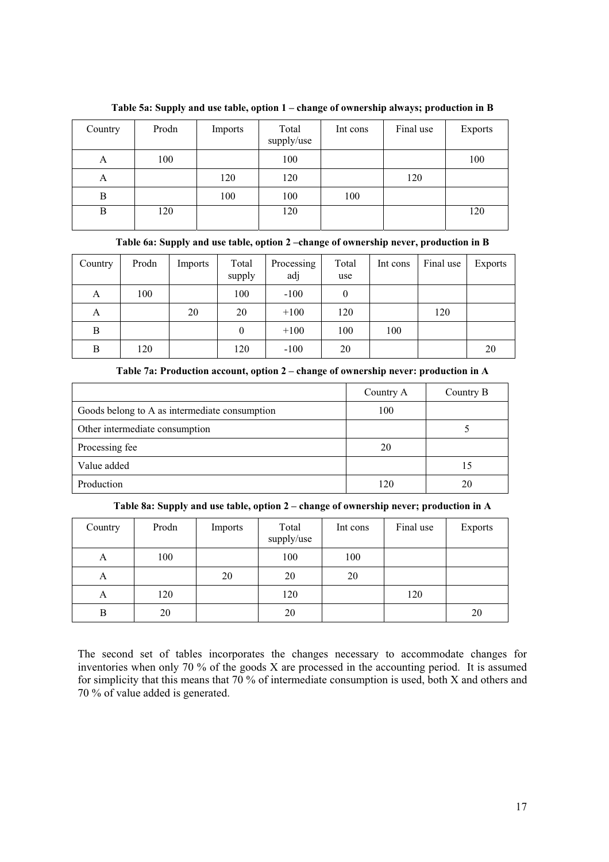| Country | Prodn | Imports | Total<br>supply/use | Int cons | Final use | <b>Exports</b> |
|---------|-------|---------|---------------------|----------|-----------|----------------|
| A       | 100   |         | 100                 |          |           | 100            |
| A       |       | 120     | 120                 |          | 120       |                |
| B       |       | 100     | 100                 | 100      |           |                |
| B       | 120   |         | 120                 |          |           | 120            |

**Table 5a: Supply and use table, option 1 – change of ownership always; production in B** 

**Table 6a: Supply and use table, option 2 –change of ownership never, production in B** 

| Country | Prodn | Imports | Total<br>supply | Processing<br>adj | Total<br>use | Int cons | Final use | Exports |
|---------|-------|---------|-----------------|-------------------|--------------|----------|-----------|---------|
| A       | 100   |         | 100             | $-100$            | 0            |          |           |         |
| A       |       | 20      | 20              | $+100$            | 120          |          | 120       |         |
| B       |       |         | $\theta$        | $+100$            | 100          | 100      |           |         |
| В       | 120   |         | 120             | $-100$            | 20           |          |           | 20      |

| Table 7a: Production account, option 2 – change of ownership never: production in A |  |  |  |
|-------------------------------------------------------------------------------------|--|--|--|
|-------------------------------------------------------------------------------------|--|--|--|

|                                               | Country A | Country B |
|-----------------------------------------------|-----------|-----------|
| Goods belong to A as intermediate consumption | 100       |           |
| Other intermediate consumption                |           |           |
| Processing fee                                | 20        |           |
| Value added                                   |           | 15        |
| Production                                    | 120       | 20        |

**Table 8a: Supply and use table, option 2 – change of ownership never; production in A** 

| Country | Prodn | Imports | Total<br>supply/use | Int cons | Final use | <b>Exports</b> |
|---------|-------|---------|---------------------|----------|-----------|----------------|
| A       | 100   |         | 100                 | 100      |           |                |
| A       |       | 20      | 20                  | 20       |           |                |
| A       | 120   |         | 120                 |          | 120       |                |
| B       | 20    |         | 20                  |          |           | 20             |

The second set of tables incorporates the changes necessary to accommodate changes for inventories when only 70 % of the goods X are processed in the accounting period. It is assumed for simplicity that this means that 70 % of intermediate consumption is used, both X and others and 70 % of value added is generated.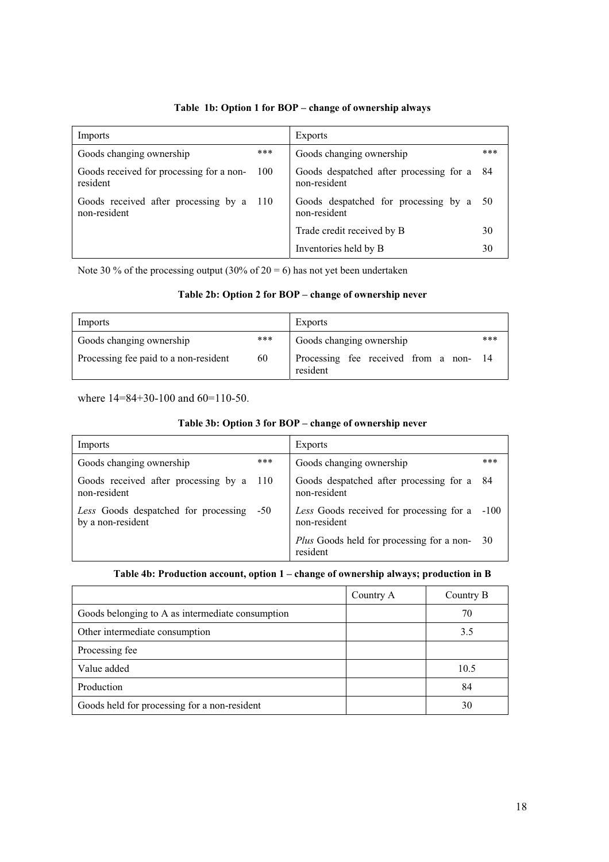### **Table 1b: Option 1 for BOP – change of ownership always**

| Imports                                                     | <b>Exports</b>                                             |     |
|-------------------------------------------------------------|------------------------------------------------------------|-----|
| ***<br>Goods changing ownership                             | Goods changing ownership                                   | *** |
| Goods received for processing for a non-<br>100<br>resident | Goods despatched after processing for a 84<br>non-resident |     |
| Goods received after processing by a 110<br>non-resident    | Goods despatched for processing by a<br>non-resident       | -50 |
|                                                             | Trade credit received by B                                 | 30  |
|                                                             | Inventories held by B                                      | 30  |

Note 30 % of the processing output (30% of  $20 = 6$ ) has not yet been undertaken

#### **Table 2b: Option 2 for BOP – change of ownership never**

| Imports                               |     | <b>Exports</b>                                    |     |
|---------------------------------------|-----|---------------------------------------------------|-----|
| Goods changing ownership              | *** | Goods changing ownership                          | *** |
| Processing fee paid to a non-resident | 60  | Processing fee received from a non-14<br>resident |     |

where  $14=84+30-100$  and  $60=110-50$ .

#### **Table 3b: Option 3 for BOP – change of ownership never**

| Imports                                                       | <b>Exports</b>                                                |     |
|---------------------------------------------------------------|---------------------------------------------------------------|-----|
| ***<br>Goods changing ownership                               | Goods changing ownership                                      | *** |
| Goods received after processing by a 110<br>non-resident      | Goods despatched after processing for a 84<br>non-resident    |     |
| Less Goods despatched for processing -50<br>by a non-resident | Less Goods received for processing for a -100<br>non-resident |     |
|                                                               | <i>Plus</i> Goods held for processing for a non-<br>resident  | -30 |

### **Table 4b: Production account, option 1 – change of ownership always; production in B**

|                                                  | Country A | Country B |
|--------------------------------------------------|-----------|-----------|
| Goods belonging to A as intermediate consumption |           | 70        |
| Other intermediate consumption                   |           | 3.5       |
| Processing fee                                   |           |           |
| Value added                                      |           | 10.5      |
| Production                                       |           | 84        |
| Goods held for processing for a non-resident     |           | 30        |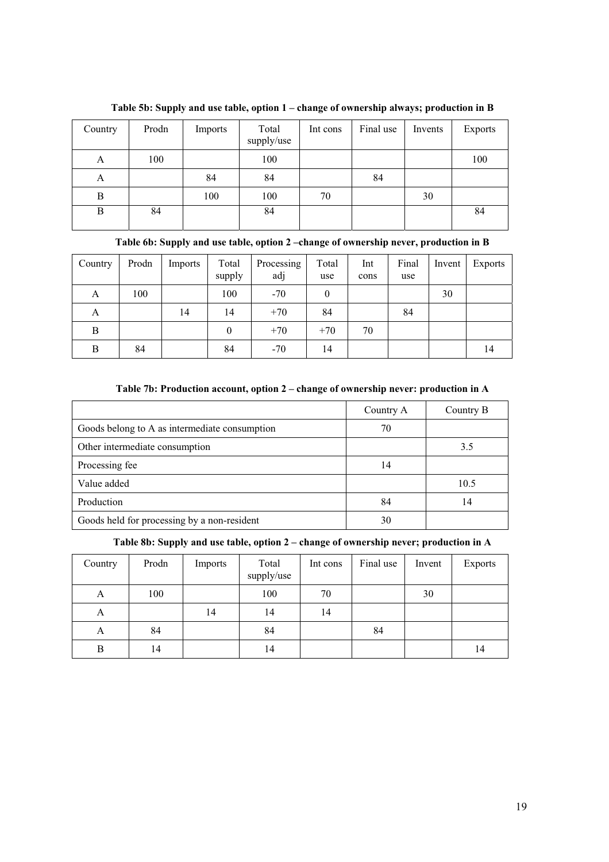| Country | Prodn | Imports | Total<br>supply/use | Int cons | Final use | Invents | <b>Exports</b> |
|---------|-------|---------|---------------------|----------|-----------|---------|----------------|
| A       | 100   |         | 100                 |          |           |         | 100            |
| A       |       | 84      | 84                  |          | 84        |         |                |
| B       |       | 100     | 100                 | 70       |           | 30      |                |
| B       | 84    |         | 84                  |          |           |         | 84             |

**Table 5b: Supply and use table, option 1 – change of ownership always; production in B** 

| Country | Prodn | Imports | Total<br>supply | Processing<br>adj | Total<br>use | Int<br>cons | Final<br>use | Invent | Exports |
|---------|-------|---------|-----------------|-------------------|--------------|-------------|--------------|--------|---------|
| A       | 100   |         | 100             | $-70$             | $\theta$     |             |              | 30     |         |
| A       |       | 14      | 14              | $+70$             | 84           |             | 84           |        |         |
| B       |       |         | $\mathbf{0}$    | $+70$             | $+70$        | 70          |              |        |         |
| B       | 84    |         | 84              | $-70$             | 14           |             |              |        | 14      |

### **Table 7b: Production account, option 2 – change of ownership never: production in A**

|                                               | Country A | Country B |
|-----------------------------------------------|-----------|-----------|
| Goods belong to A as intermediate consumption | 70        |           |
| Other intermediate consumption                |           | 3.5       |
| Processing fee                                | 14        |           |
| Value added                                   |           | 10.5      |
| Production                                    | 84        | 14        |
| Goods held for processing by a non-resident   | 30        |           |

**Table 8b: Supply and use table, option 2 – change of ownership never; production in A** 

| Country | Prodn | Imports | Total<br>supply/use | Int cons | Final use | Invent | <b>Exports</b> |
|---------|-------|---------|---------------------|----------|-----------|--------|----------------|
| A       | 100   |         | 100                 | 70       |           | 30     |                |
| A       |       | 14      | 14                  | 14       |           |        |                |
| A       | 84    |         | 84                  |          | 84        |        |                |
| B       | 14    |         | 14                  |          |           |        | 14             |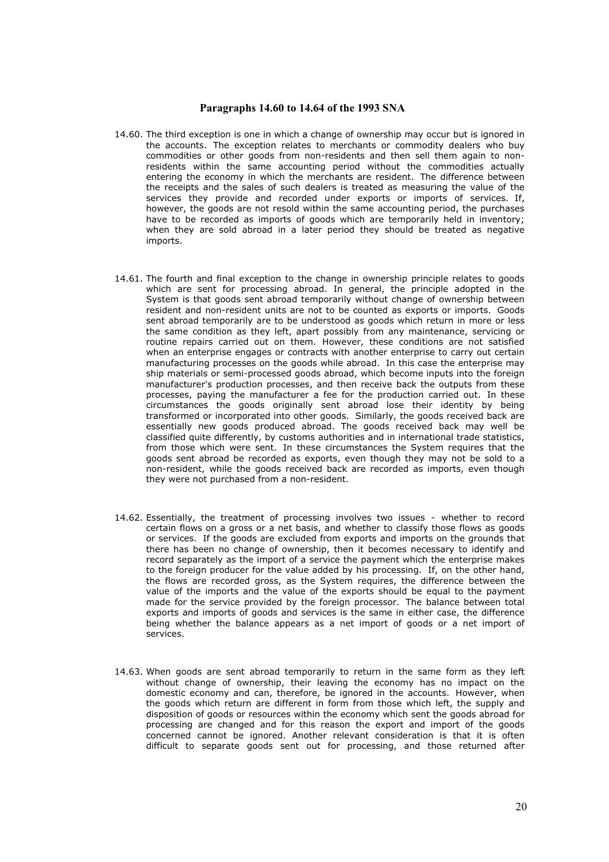#### **Paragraphs 14.60 to 14.64 of the 1993 SNA**

- 14.60. The third exception is one in which a change of ownership may occur but is ignored in the accounts. The exception relates to merchants or commodity dealers who buy commodities or other goods from non-residents and then sell them again to nonresidents within the same accounting period without the commodities actually entering the economy in which the merchants are resident. The difference between the receipts and the sales of such dealers is treated as measuring the value of the services they provide and recorded under exports or imports of services. If, however, the goods are not resold within the same accounting period, the purchases have to be recorded as imports of goods which are temporarily held in inventory; when they are sold abroad in a later period they should be treated as negative imports.
- 14.61. The fourth and final exception to the change in ownership principle relates to goods which are sent for processing abroad. In general, the principle adopted in the System is that goods sent abroad temporarily without change of ownership between resident and non-resident units are not to be counted as exports or imports. Goods sent abroad temporarily are to be understood as goods which return in more or less the same condition as they left, apart possibly from any maintenance, servicing or routine repairs carried out on them. However, these conditions are not satisfied when an enterprise engages or contracts with another enterprise to carry out certain manufacturing processes on the goods while abroad. In this case the enterprise may ship materials or semi-processed goods abroad, which become inputs into the foreign manufacturer's production processes, and then receive back the outputs from these processes, paying the manufacturer a fee for the production carried out. In these circumstances the goods originally sent abroad lose their identity by being transformed or incorporated into other goods. Similarly, the goods received back are essentially new goods produced abroad. The goods received back may well be classified quite differently, by customs authorities and in international trade statistics, from those which were sent. In these circumstances the System requires that the goods sent abroad be recorded as exports, even though they may not be sold to a non-resident, while the goods received back are recorded as imports, even though they were not purchased from a non-resident.
- 14.62. Essentially, the treatment of processing involves two issues whether to record certain flows on a gross or a net basis, and whether to classify those flows as goods or services. If the goods are excluded from exports and imports on the grounds that there has been no change of ownership, then it becomes necessary to identify and record separately as the import of a service the payment which the enterprise makes to the foreign producer for the value added by his processing. If, on the other hand, the flows are recorded gross, as the System requires, the difference between the value of the imports and the value of the exports should be equal to the payment made for the service provided by the foreign processor. The balance between total exports and imports of goods and services is the same in either case, the difference being whether the balance appears as a net import of goods or a net import of services.
- 14.63. When goods are sent abroad temporarily to return in the same form as they left without change of ownership, their leaving the economy has no impact on the domestic economy and can, therefore, be ignored in the accounts. However, when the goods which return are different in form from those which left, the supply and disposition of goods or resources within the economy which sent the goods abroad for processing are changed and for this reason the export and import of the goods concerned cannot be ignored. Another relevant consideration is that it is often difficult to separate goods sent out for processing, and those returned after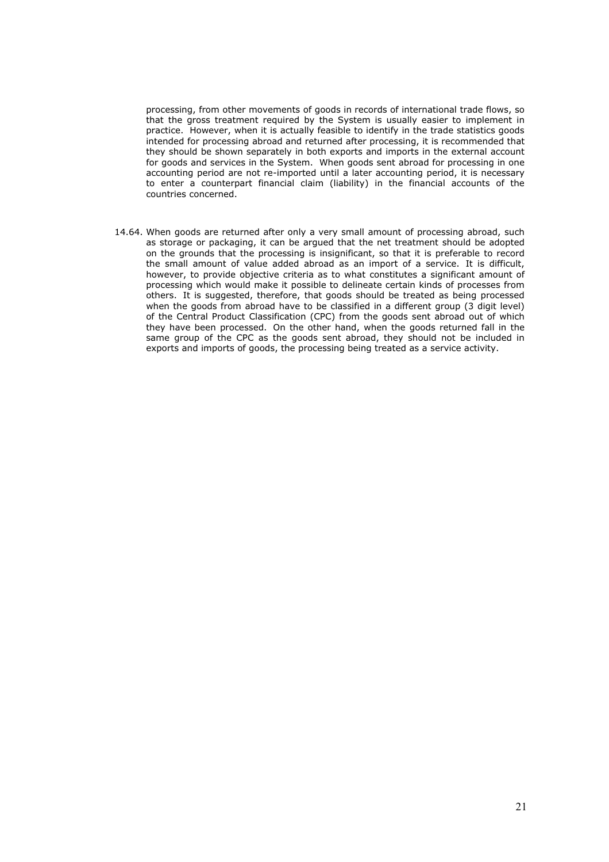processing, from other movements of goods in records of international trade flows, so that the gross treatment required by the System is usually easier to implement in practice. However, when it is actually feasible to identify in the trade statistics goods intended for processing abroad and returned after processing, it is recommended that they should be shown separately in both exports and imports in the external account for goods and services in the System. When goods sent abroad for processing in one accounting period are not re-imported until a later accounting period, it is necessary to enter a counterpart financial claim (liability) in the financial accounts of the countries concerned.

14.64. When goods are returned after only a very small amount of processing abroad, such as storage or packaging, it can be argued that the net treatment should be adopted on the grounds that the processing is insignificant, so that it is preferable to record the small amount of value added abroad as an import of a service. It is difficult, however, to provide objective criteria as to what constitutes a significant amount of processing which would make it possible to delineate certain kinds of processes from others. It is suggested, therefore, that goods should be treated as being processed when the goods from abroad have to be classified in a different group (3 digit level) of the Central Product Classification (CPC) from the goods sent abroad out of which they have been processed. On the other hand, when the goods returned fall in the same group of the CPC as the goods sent abroad, they should not be included in exports and imports of goods, the processing being treated as a service activity.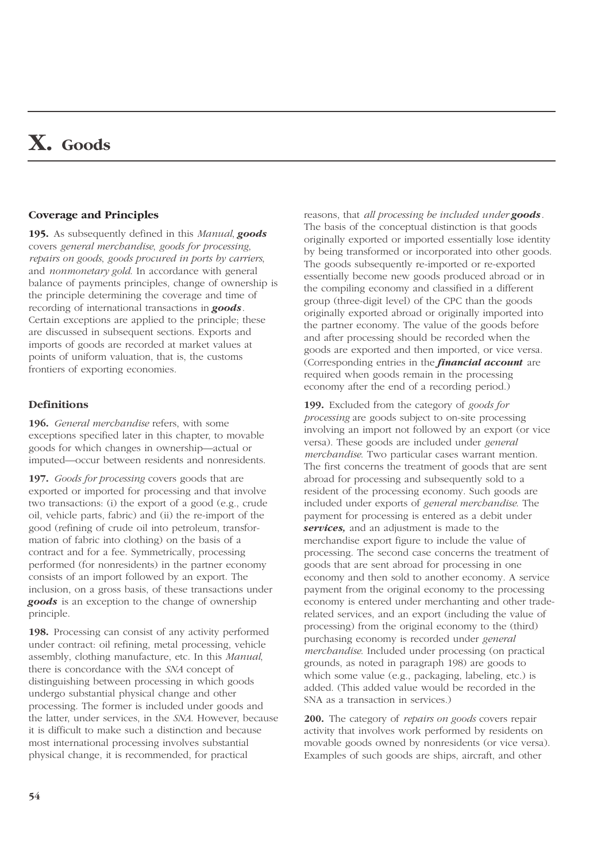# **X. Goods**

#### **Coverage and Principles**

**195.** As subsequently defined in this *Manual*, *goods* covers *general merchandise*, *goods for processing*, *repairs on goods*, *goods procured in ports by carriers*, and *nonmonetary gold*. In accordance with general balance of payments principles, change of ownership is the principle determining the coverage and time of recording of international transactions in *goods*. Certain exceptions are applied to the principle; these are discussed in subsequent sections. Exports and imports of goods are recorded at market values at points of uniform valuation, that is, the customs frontiers of exporting economies.

#### **Definitions**

**196.** *General merchandise* refers, with some exceptions specified later in this chapter, to movable goods for which changes in ownership—actual or imputed—occur between residents and nonresidents.

**197.** *Goods for processing* covers goods that are exported or imported for processing and that involve two transactions: (i) the export of a good (e.g., crude oil, vehicle parts, fabric) and (ii) the re-import of the good (refining of crude oil into petroleum, transformation of fabric into clothing) on the basis of a contract and for a fee. Symmetrically, processing performed (for nonresidents) in the partner economy consists of an import followed by an export. The inclusion, on a gross basis, of these transactions under *goods* is an exception to the change of ownership principle.

**198.** Processing can consist of any activity performed under contract: oil refining, metal processing, vehicle assembly, clothing manufacture, etc. In this *Manual*, there is concordance with the *SNA* concept of distinguishing between processing in which goods undergo substantial physical change and other processing. The former is included under goods and the latter, under services, in the *SNA*. However, because it is difficult to make such a distinction and because most international processing involves substantial physical change, it is recommended, for practical

reasons, that *all processing be included under goods*. The basis of the conceptual distinction is that goods originally exported or imported essentially lose identity by being transformed or incorporated into other goods. The goods subsequently re-imported or re-exported essentially become new goods produced abroad or in the compiling economy and classified in a different group (three-digit level) of the CPC than the goods originally exported abroad or originally imported into the partner economy. The value of the goods before and after processing should be recorded when the goods are exported and then imported, or vice versa. (Corresponding entries in the *financial account* are required when goods remain in the processing economy after the end of a recording period.)

**199.** Excluded from the category of *goods for processing* are goods subject to on-site processing involving an import not followed by an export (or vice versa). These goods are included under *general merchandise*. Two particular cases warrant mention. The first concerns the treatment of goods that are sent abroad for processing and subsequently sold to a resident of the processing economy. Such goods are included under exports of *general merchandise*. The payment for processing is entered as a debit under *services,* and an adjustment is made to the merchandise export figure to include the value of processing. The second case concerns the treatment of goods that are sent abroad for processing in one economy and then sold to another economy. A service payment from the original economy to the processing economy is entered under merchanting and other traderelated services, and an export (including the value of processing) from the original economy to the (third) purchasing economy is recorded under *general merchandise*. Included under processing (on practical grounds, as noted in paragraph 198) are goods to which some value (e.g., packaging, labeling, etc.) is added. (This added value would be recorded in the SNA as a transaction in services.)

**200.** The category of *repairs on goods* covers repair activity that involves work performed by residents on movable goods owned by nonresidents (or vice versa). Examples of such goods are ships, aircraft, and other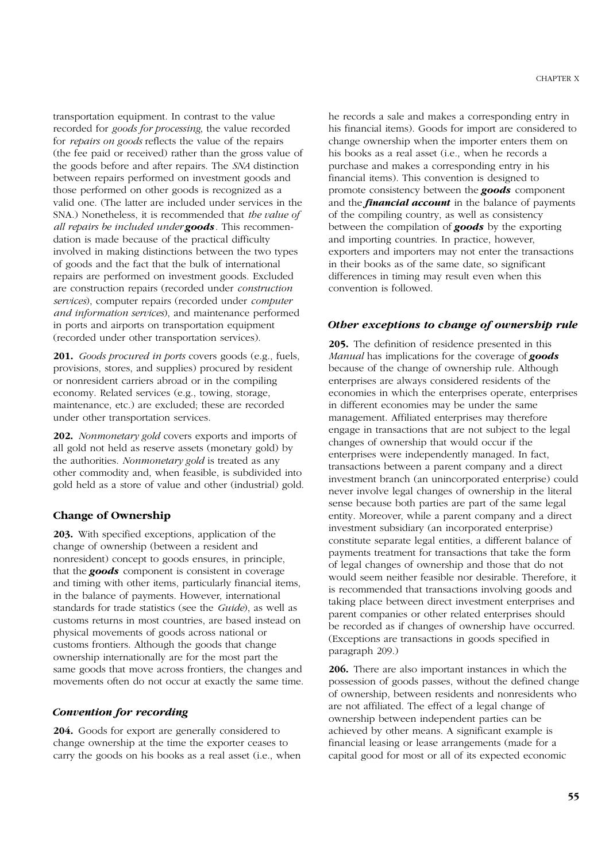transportation equipment. In contrast to the value recorded for *goods for processing*, the value recorded for *repairs on goods* reflects the value of the repairs (the fee paid or received) rather than the gross value of the goods before and after repairs. The *SNA* distinction between repairs performed on investment goods and those performed on other goods is recognized as a valid one. (The latter are included under services in the SNA.) Nonetheless, it is recommended that *the value of all repairs be included under goods*. This recommendation is made because of the practical difficulty involved in making distinctions between the two types of goods and the fact that the bulk of international repairs are performed on investment goods. Excluded are construction repairs (recorded under *construction services*), computer repairs (recorded under *computer and information services*), and maintenance performed in ports and airports on transportation equipment (recorded under other transportation services).

**201.** *Goods procured in ports* covers goods (e.g., fuels, provisions, stores, and supplies) procured by resident or nonresident carriers abroad or in the compiling economy. Related services (e.g., towing, storage, maintenance, etc.) are excluded; these are recorded under other transportation services.

**202.** *Nonmonetary gold* covers exports and imports of all gold not held as reserve assets (monetary gold) by the authorities. *Nonmonetary gold* is treated as any other commodity and, when feasible, is subdivided into gold held as a store of value and other (industrial) gold.

#### **Change of Ownership**

**203.** With specified exceptions, application of the change of ownership (between a resident and nonresident) concept to goods ensures, in principle, that the *goods* component is consistent in coverage and timing with other items, particularly financial items, in the balance of payments. However, international standards for trade statistics (see the *Guide*), as well as customs returns in most countries, are based instead on physical movements of goods across national or customs frontiers. Although the goods that change ownership internationally are for the most part the same goods that move across frontiers, the changes and movements often do not occur at exactly the same time.

#### *Convention for recording*

**204.** Goods for export are generally considered to change ownership at the time the exporter ceases to carry the goods on his books as a real asset (i.e., when he records a sale and makes a corresponding entry in his financial items). Goods for import are considered to change ownership when the importer enters them on his books as a real asset (i.e., when he records a purchase and makes a corresponding entry in his financial items). This convention is designed to promote consistency between the *goods* component and the *financial account* in the balance of payments of the compiling country, as well as consistency between the compilation of *goods* by the exporting and importing countries. In practice, however, exporters and importers may not enter the transactions in their books as of the same date, so significant differences in timing may result even when this convention is followed.

#### *Other exceptions to change of ownership rule*

**205.** The definition of residence presented in this *Manual* has implications for the coverage of *goods* because of the change of ownership rule. Although enterprises are always considered residents of the economies in which the enterprises operate, enterprises in different economies may be under the same management. Affiliated enterprises may therefore engage in transactions that are not subject to the legal changes of ownership that would occur if the enterprises were independently managed. In fact, transactions between a parent company and a direct investment branch (an unincorporated enterprise) could never involve legal changes of ownership in the literal sense because both parties are part of the same legal entity. Moreover, while a parent company and a direct investment subsidiary (an incorporated enterprise) constitute separate legal entities, a different balance of payments treatment for transactions that take the form of legal changes of ownership and those that do not would seem neither feasible nor desirable. Therefore, it is recommended that transactions involving goods and taking place between direct investment enterprises and parent companies or other related enterprises should be recorded as if changes of ownership have occurred. (Exceptions are transactions in goods specified in paragraph 209.)

**206.** There are also important instances in which the possession of goods passes, without the defined change of ownership, between residents and nonresidents who are not affiliated. The effect of a legal change of ownership between independent parties can be achieved by other means. A significant example is financial leasing or lease arrangements (made for a capital good for most or all of its expected economic